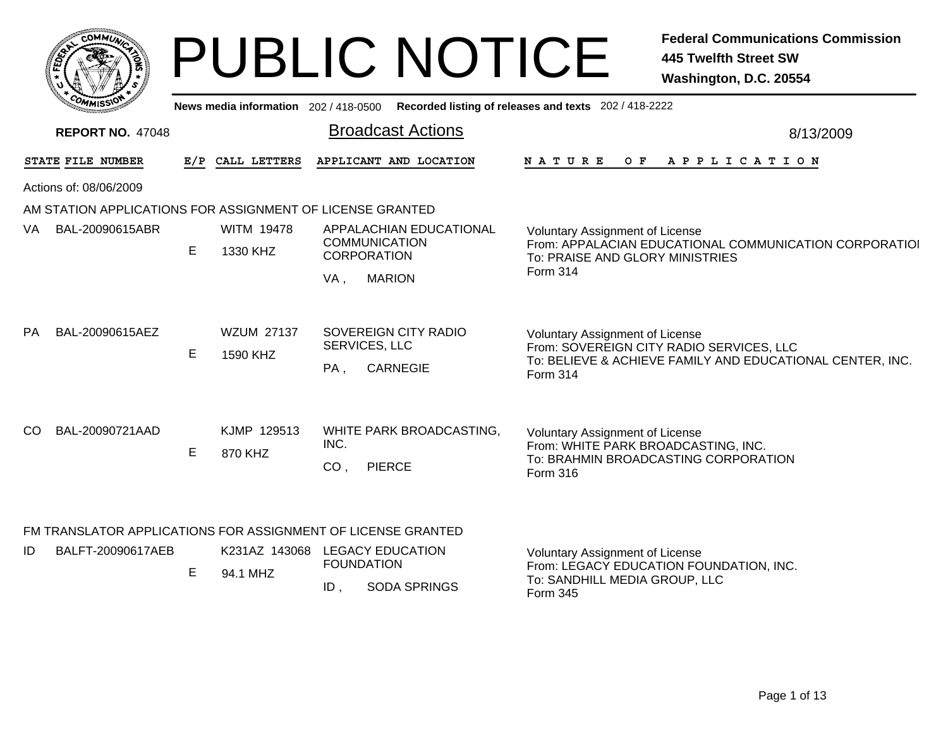|     | <b>COMMUN</b>                                                                       |     |                               | <b>PUBLIC NOTICE</b>                                                                          | <b>Federal Communications Commission</b><br><b>445 Twelfth Street SW</b><br>Washington, D.C. 20554                                                   |
|-----|-------------------------------------------------------------------------------------|-----|-------------------------------|-----------------------------------------------------------------------------------------------|------------------------------------------------------------------------------------------------------------------------------------------------------|
|     |                                                                                     |     |                               | News media information 202 / 418-0500 Recorded listing of releases and texts 202 / 418-2222   |                                                                                                                                                      |
|     | <b>REPORT NO. 47048</b>                                                             |     |                               | <b>Broadcast Actions</b>                                                                      | 8/13/2009                                                                                                                                            |
|     | STATE FILE NUMBER                                                                   | E/P | CALL LETTERS                  | APPLICANT AND LOCATION                                                                        | NATURE<br>APPLICATION<br>O F                                                                                                                         |
|     | Actions of: 08/06/2009<br>AM STATION APPLICATIONS FOR ASSIGNMENT OF LICENSE GRANTED |     |                               |                                                                                               |                                                                                                                                                      |
| VA. | BAL-20090615ABR                                                                     | E   | <b>WITM 19478</b><br>1330 KHZ | APPALACHIAN EDUCATIONAL<br><b>COMMUNICATION</b><br><b>CORPORATION</b><br><b>MARION</b><br>VA, | <b>Voluntary Assignment of License</b><br>From: APPALACIAN EDUCATIONAL COMMUNICATION CORPORATIOI<br>To: PRAISE AND GLORY MINISTRIES<br>Form 314      |
| PA. | BAL-20090615AEZ                                                                     | E.  | <b>WZUM 27137</b><br>1590 KHZ | SOVEREIGN CITY RADIO<br>SERVICES, LLC<br><b>CARNEGIE</b><br>PA,                               | Voluntary Assignment of License<br>From: SOVEREIGN CITY RADIO SERVICES, LLC<br>To: BELIEVE & ACHIEVE FAMILY AND EDUCATIONAL CENTER, INC.<br>Form 314 |
| CO. | BAL-20090721AAD                                                                     | E   | KJMP 129513<br>870 KHZ        | WHITE PARK BROADCASTING,<br>INC.<br>CO,<br><b>PIERCE</b>                                      | Voluntary Assignment of License<br>From: WHITE PARK BROADCASTING, INC.<br>To: BRAHMIN BROADCASTING CORPORATION<br>Form 316                           |
|     |                                                                                     |     |                               | FM TRANSLATOR APPLICATIONS FOR ASSIGNMENT OF LICENSE GRANTED                                  |                                                                                                                                                      |
| ID  | BALFT-20090617AEB                                                                   | E.  | 94.1 MHZ                      | K231AZ 143068 LEGACY EDUCATION<br><b>FOUNDATION</b><br><b>SODA SPRINGS</b><br>ID.             | <b>Voluntary Assignment of License</b><br>From: LEGACY EDUCATION FOUNDATION, INC.<br>To: SANDHILL MEDIA GROUP, LLC<br>Form 345                       |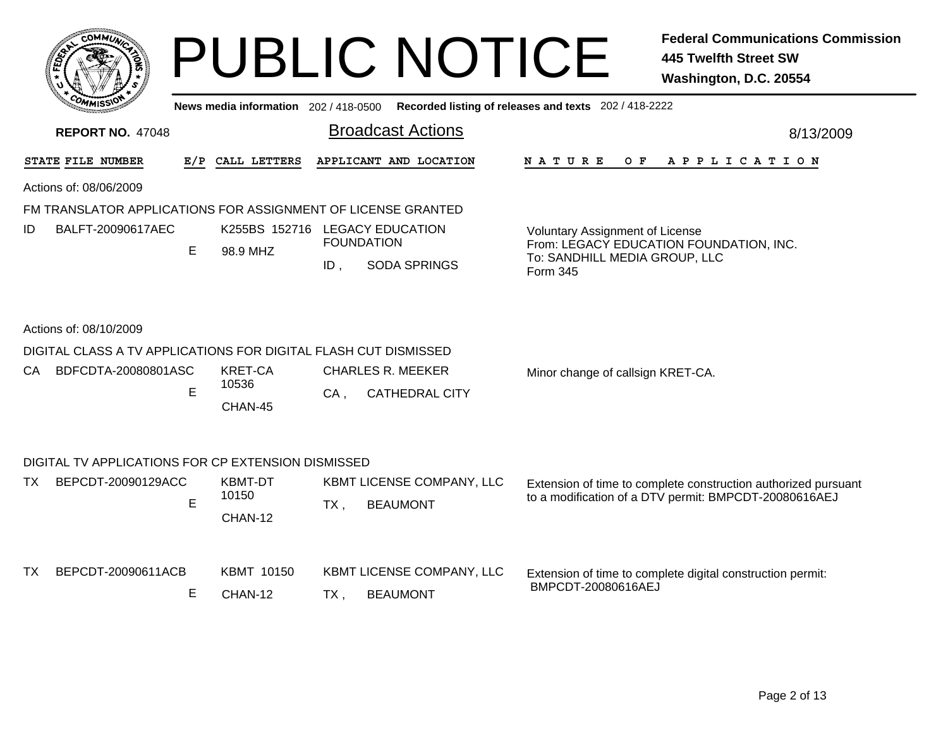|      | <b>COMMUT</b>                                                   |     |                                            |        | <b>PUBLIC NOTICE</b>                                                                    |                                                                              | <b>Federal Communications Commission</b><br><b>445 Twelfth Street SW</b><br>Washington, D.C. 20554                      |
|------|-----------------------------------------------------------------|-----|--------------------------------------------|--------|-----------------------------------------------------------------------------------------|------------------------------------------------------------------------------|-------------------------------------------------------------------------------------------------------------------------|
|      |                                                                 |     |                                            |        | News media information 202/418-0500 Recorded listing of releases and texts 202/418-2222 |                                                                              |                                                                                                                         |
|      | <b>REPORT NO. 47048</b>                                         |     |                                            |        | <b>Broadcast Actions</b>                                                                |                                                                              | 8/13/2009                                                                                                               |
|      | STATE FILE NUMBER                                               | E/P | CALL LETTERS                               |        | APPLICANT AND LOCATION                                                                  | N A T U R E<br>O F                                                           | A P P L I C A T I O N                                                                                                   |
|      | Actions of: 08/06/2009                                          |     |                                            |        |                                                                                         |                                                                              |                                                                                                                         |
|      | FM TRANSLATOR APPLICATIONS FOR ASSIGNMENT OF LICENSE GRANTED    |     |                                            |        |                                                                                         |                                                                              |                                                                                                                         |
| ID   | BALFT-20090617AEC                                               | E   | K255BS 152716 LEGACY EDUCATION<br>98.9 MHZ | $ID$ , | <b>FOUNDATION</b><br><b>SODA SPRINGS</b>                                                | Voluntary Assignment of License<br>To: SANDHILL MEDIA GROUP, LLC<br>Form 345 | From: LEGACY EDUCATION FOUNDATION, INC.                                                                                 |
|      | Actions of: 08/10/2009                                          |     |                                            |        |                                                                                         |                                                                              |                                                                                                                         |
|      | DIGITAL CLASS A TV APPLICATIONS FOR DIGITAL FLASH CUT DISMISSED |     |                                            |        |                                                                                         |                                                                              |                                                                                                                         |
| CA - | BDFCDTA-20080801ASC                                             | E   | <b>KRET-CA</b><br>10536<br>CHAN-45         | CA.    | <b>CHARLES R. MEEKER</b><br><b>CATHEDRAL CITY</b>                                       | Minor change of callsign KRET-CA.                                            |                                                                                                                         |
|      | DIGITAL TV APPLICATIONS FOR CP EXTENSION DISMISSED              |     |                                            |        |                                                                                         |                                                                              |                                                                                                                         |
| TX.  | BEPCDT-20090129ACC                                              | E   | KBMT-DT<br>10150<br>CHAN-12                | $TX$ , | KBMT LICENSE COMPANY, LLC<br><b>BEAUMONT</b>                                            |                                                                              | Extension of time to complete construction authorized pursuant<br>to a modification of a DTV permit: BMPCDT-20080616AEJ |
| TX.  | BEPCDT-20090611ACB                                              | Е   | <b>KBMT 10150</b><br>CHAN-12               | TX .   | KBMT LICENSE COMPANY, LLC<br><b>BEAUMONT</b>                                            | BMPCDT-20080616AEJ                                                           | Extension of time to complete digital construction permit:                                                              |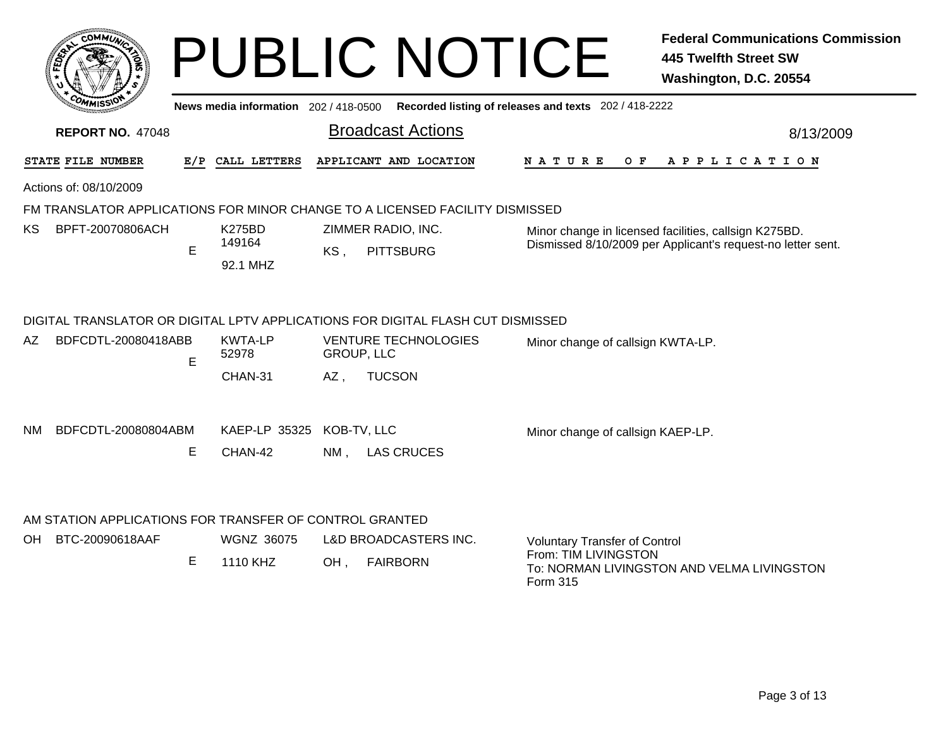|     |                                                                            |     |                                     | <b>PUBLIC NOTICE</b>                                                                                                                | <b>Federal Communications Commission</b><br><b>445 Twelfth Street SW</b><br>Washington, D.C. 20554                     |
|-----|----------------------------------------------------------------------------|-----|-------------------------------------|-------------------------------------------------------------------------------------------------------------------------------------|------------------------------------------------------------------------------------------------------------------------|
|     |                                                                            |     |                                     | News media information 202/418-0500 Recorded listing of releases and texts 202/418-2222                                             |                                                                                                                        |
|     | <b>REPORT NO. 47048</b>                                                    |     |                                     | <b>Broadcast Actions</b>                                                                                                            | 8/13/2009                                                                                                              |
|     | STATE FILE NUMBER                                                          | E/P | CALL LETTERS                        | APPLICANT AND LOCATION                                                                                                              | <b>NATURE</b><br>APPLICATION<br>O F                                                                                    |
|     | Actions of: 08/10/2009                                                     |     |                                     |                                                                                                                                     |                                                                                                                        |
|     |                                                                            |     |                                     | FM TRANSLATOR APPLICATIONS FOR MINOR CHANGE TO A LICENSED FACILITY DISMISSED                                                        |                                                                                                                        |
| KS. | BPFT-20070806ACH                                                           | E.  | <b>K275BD</b><br>149164<br>92.1 MHZ | ZIMMER RADIO, INC.<br>KS,<br><b>PITTSBURG</b>                                                                                       | Minor change in licensed facilities, callsign K275BD.<br>Dismissed 8/10/2009 per Applicant's request-no letter sent.   |
| AZ. | BDFCDTL-20080418ABB                                                        | E   | <b>KWTA-LP</b><br>52978             | DIGITAL TRANSLATOR OR DIGITAL LPTV APPLICATIONS FOR DIGITAL FLASH CUT DISMISSED<br><b>VENTURE TECHNOLOGIES</b><br><b>GROUP, LLC</b> | Minor change of callsign KWTA-LP.                                                                                      |
| NM. | BDFCDTL-20080804ABM                                                        | Е   | CHAN-31<br>KAEP-LP 35325<br>CHAN-42 | $AZ$ ,<br><b>TUCSON</b><br>KOB-TV, LLC<br>$NM$ .<br><b>LAS CRUCES</b>                                                               | Minor change of callsign KAEP-LP.                                                                                      |
| OH  | AM STATION APPLICATIONS FOR TRANSFER OF CONTROL GRANTED<br>BTC-20090618AAF | E.  | <b>WGNZ 36075</b><br>1110 KHZ       | <b>L&amp;D BROADCASTERS INC.</b><br><b>FAIRBORN</b><br>$OH$ ,                                                                       | <b>Voluntary Transfer of Control</b><br>From: TIM LIVINGSTON<br>To: NORMAN LIVINGSTON AND VELMA LIVINGSTON<br>Form 315 |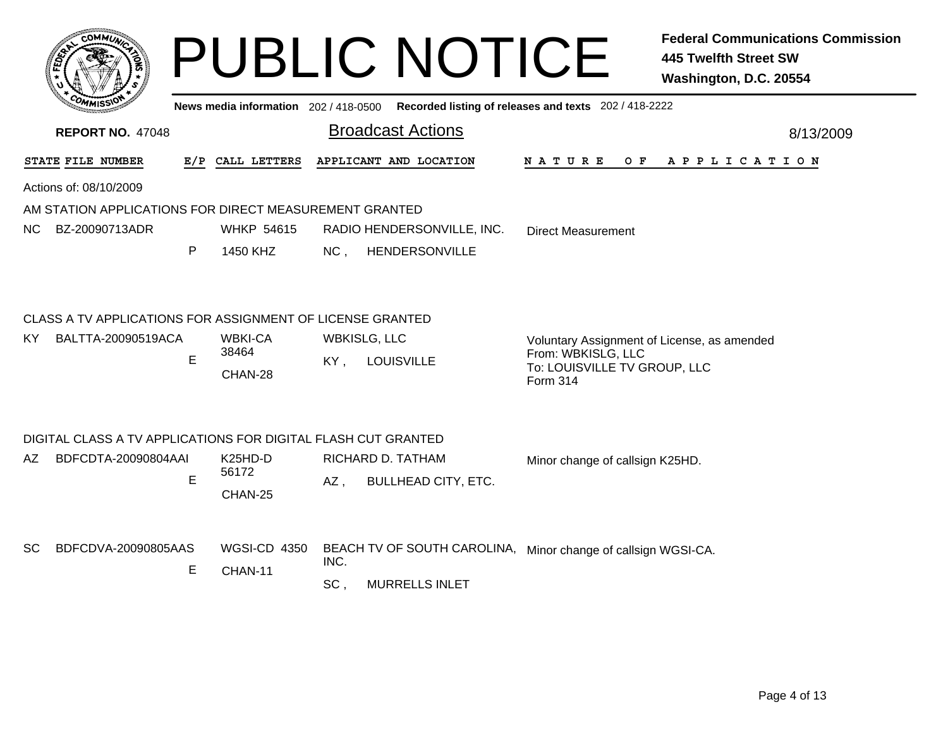|                                                               |                                | <b>PUBLIC NOTICE</b>                                                                                                    |                                                                   | <b>Federal Communications Commission</b><br><b>445 Twelfth Street SW</b><br>Washington, D.C. 20554 |
|---------------------------------------------------------------|--------------------------------|-------------------------------------------------------------------------------------------------------------------------|-------------------------------------------------------------------|----------------------------------------------------------------------------------------------------|
| <b>REPORT NO. 47048</b>                                       |                                | News media information 202 / 418-0500 Recorded listing of releases and texts 202 / 418-2222<br><b>Broadcast Actions</b> |                                                                   | 8/13/2009                                                                                          |
| STATE FILE NUMBER                                             | E/P CALL LETTERS               | APPLICANT AND LOCATION                                                                                                  | $O$ $F$<br>N A T U R E                                            | A P P L I C A T I O N                                                                              |
| Actions of: 08/10/2009                                        |                                |                                                                                                                         |                                                                   |                                                                                                    |
| AM STATION APPLICATIONS FOR DIRECT MEASUREMENT GRANTED        |                                |                                                                                                                         |                                                                   |                                                                                                    |
| BZ-20090713ADR<br>NC.                                         | <b>WHKP 54615</b>              | RADIO HENDERSONVILLE, INC.                                                                                              | <b>Direct Measurement</b>                                         |                                                                                                    |
| P                                                             | 1450 KHZ                       | HENDERSONVILLE<br>NC.                                                                                                   |                                                                   |                                                                                                    |
| CLASS A TV APPLICATIONS FOR ASSIGNMENT OF LICENSE GRANTED     |                                |                                                                                                                         |                                                                   |                                                                                                    |
| BALTTA-20090519ACA<br>KY.                                     | <b>WBKI-CA</b><br>38464        | <b>WBKISLG, LLC</b>                                                                                                     | Voluntary Assignment of License, as amended<br>From: WBKISLG, LLC |                                                                                                    |
| E                                                             | CHAN-28                        | KY,<br><b>LOUISVILLE</b>                                                                                                | To: LOUISVILLE TV GROUP, LLC<br>Form 314                          |                                                                                                    |
| DIGITAL CLASS A TV APPLICATIONS FOR DIGITAL FLASH CUT GRANTED |                                |                                                                                                                         |                                                                   |                                                                                                    |
| BDFCDTA-20090804AAI<br>AZ.                                    | K <sub>25</sub> HD-D<br>56172  | RICHARD D. TATHAM                                                                                                       | Minor change of callsign K25HD.                                   |                                                                                                    |
| E                                                             | CHAN-25                        | AZ.<br><b>BULLHEAD CITY, ETC.</b>                                                                                       |                                                                   |                                                                                                    |
| BDFCDVA-20090805AAS<br>SC.<br>Е                               | <b>WGSI-CD 4350</b><br>CHAN-11 | BEACH TV OF SOUTH CAROLINA, Minor change of callsign WGSI-CA.<br>INC.                                                   |                                                                   |                                                                                                    |
|                                                               |                                | SC <sub>1</sub><br><b>MURRELLS INLET</b>                                                                                |                                                                   |                                                                                                    |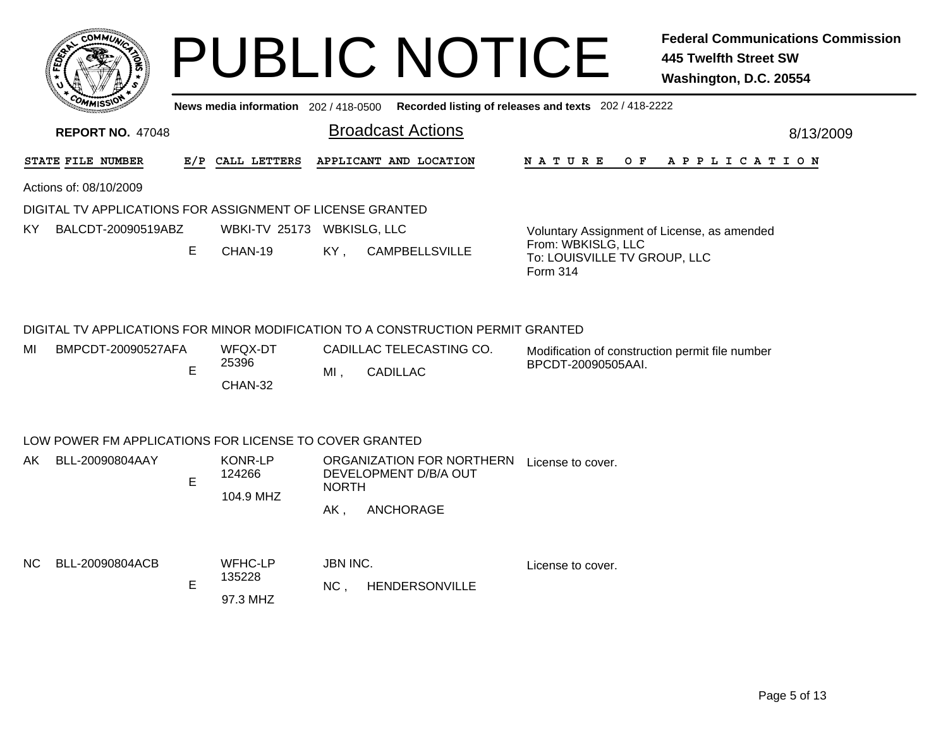|      |                                                           |     |                                       | <b>PUBLIC NOTICE</b>                                                                                                           | <b>Federal Communications Commission</b><br><b>445 Twelfth Street SW</b><br>Washington, D.C. 20554 |
|------|-----------------------------------------------------------|-----|---------------------------------------|--------------------------------------------------------------------------------------------------------------------------------|----------------------------------------------------------------------------------------------------|
|      |                                                           |     |                                       | News media information 202/418-0500 Recorded listing of releases and texts 202/418-2222                                        |                                                                                                    |
|      | <b>REPORT NO. 47048</b>                                   |     |                                       | <b>Broadcast Actions</b>                                                                                                       | 8/13/2009                                                                                          |
|      | STATE FILE NUMBER                                         | E/P | CALL LETTERS                          | APPLICANT AND LOCATION<br><b>NATURE</b><br>O F                                                                                 | APPLICATION                                                                                        |
|      | Actions of: 08/10/2009                                    |     |                                       |                                                                                                                                |                                                                                                    |
|      | DIGITAL TV APPLICATIONS FOR ASSIGNMENT OF LICENSE GRANTED |     |                                       |                                                                                                                                |                                                                                                    |
| KY.  | BALCDT-20090519ABZ                                        |     | WBKI-TV 25173 WBKISLG, LLC            | Voluntary Assignment of License, as amended                                                                                    |                                                                                                    |
|      |                                                           | E   | CHAN-19                               | From: WBKISLG, LLC<br>KY,<br><b>CAMPBELLSVILLE</b><br>To: LOUISVILLE TV GROUP, LLC<br>Form 314                                 |                                                                                                    |
|      |                                                           |     |                                       | DIGITAL TV APPLICATIONS FOR MINOR MODIFICATION TO A CONSTRUCTION PERMIT GRANTED                                                |                                                                                                    |
| MI   | BMPCDT-20090527AFA                                        | E   | WFQX-DT<br>25396<br>CHAN-32           | CADILLAC TELECASTING CO.<br>Modification of construction permit file number<br>BPCDT-20090505AAI.<br>$MI$ .<br><b>CADILLAC</b> |                                                                                                    |
|      | LOW POWER FM APPLICATIONS FOR LICENSE TO COVER GRANTED    |     |                                       |                                                                                                                                |                                                                                                    |
| AK . | BLL-20090804AAY                                           | E   | <b>KONR-LP</b><br>124266<br>104.9 MHZ | ORGANIZATION FOR NORTHERN<br>License to cover.<br>DEVELOPMENT D/B/A OUT<br><b>NORTH</b><br>ANCHORAGE<br>AK,                    |                                                                                                    |
| NC.  | BLL-20090804ACB                                           | E   | WFHC-LP<br>135228<br>97.3 MHZ         | <b>JBN INC.</b><br>License to cover.<br>NC <sub>1</sub><br><b>HENDERSONVILLE</b>                                               |                                                                                                    |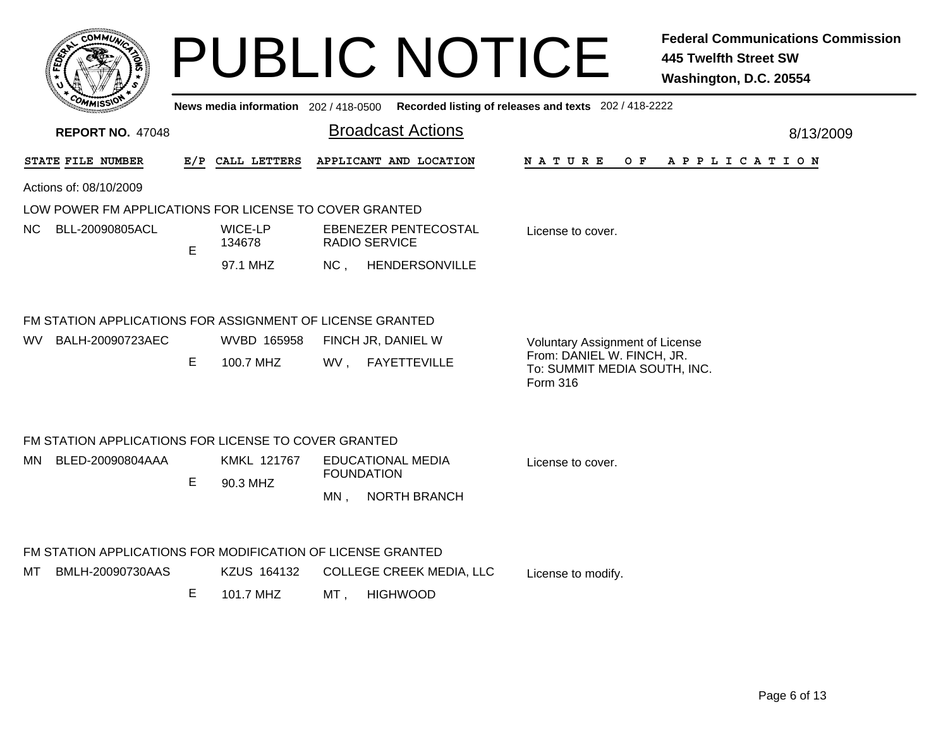|                                                                                      |    |                                     |        | <b>PUBLIC NOTICE</b>                          |                                                                                                                  | <b>Federal Communications Commission</b><br><b>445 Twelfth Street SW</b><br>Washington, D.C. 20554 |
|--------------------------------------------------------------------------------------|----|-------------------------------------|--------|-----------------------------------------------|------------------------------------------------------------------------------------------------------------------|----------------------------------------------------------------------------------------------------|
|                                                                                      |    | News media information 202/418-0500 |        |                                               | Recorded listing of releases and texts 202 / 418-2222                                                            |                                                                                                    |
| <b>REPORT NO. 47048</b>                                                              |    |                                     |        | <b>Broadcast Actions</b>                      |                                                                                                                  | 8/13/2009                                                                                          |
| STATE FILE NUMBER                                                                    |    | E/P CALL LETTERS                    |        | APPLICANT AND LOCATION                        | N A T U R E<br>O F                                                                                               | A P P L I C A T I O N                                                                              |
| Actions of: 08/10/2009                                                               |    |                                     |        |                                               |                                                                                                                  |                                                                                                    |
| LOW POWER FM APPLICATIONS FOR LICENSE TO COVER GRANTED                               |    |                                     |        |                                               |                                                                                                                  |                                                                                                    |
| BLL-20090805ACL<br>NC.                                                               | E  | WICE-LP<br>134678                   |        | EBENEZER PENTECOSTAL<br><b>RADIO SERVICE</b>  | License to cover.                                                                                                |                                                                                                    |
|                                                                                      |    | 97.1 MHZ                            | NC,    | HENDERSONVILLE                                |                                                                                                                  |                                                                                                    |
| FM STATION APPLICATIONS FOR ASSIGNMENT OF LICENSE GRANTED<br>BALH-20090723AEC<br>WV. | Е  | WVBD 165958<br>100.7 MHZ            |        | FINCH JR, DANIEL W<br>WV, FAYETTEVILLE        | <b>Voluntary Assignment of License</b><br>From: DANIEL W. FINCH, JR.<br>To: SUMMIT MEDIA SOUTH, INC.<br>Form 316 |                                                                                                    |
| FM STATION APPLICATIONS FOR LICENSE TO COVER GRANTED                                 |    |                                     |        |                                               |                                                                                                                  |                                                                                                    |
| BLED-20090804AAA<br>MN.                                                              | E. | KMKL 121767                         |        | <b>EDUCATIONAL MEDIA</b><br><b>FOUNDATION</b> | License to cover.                                                                                                |                                                                                                    |
|                                                                                      |    | 90.3 MHZ                            | $MN$ , | <b>NORTH BRANCH</b>                           |                                                                                                                  |                                                                                                    |
| FM STATION APPLICATIONS FOR MODIFICATION OF LICENSE GRANTED                          |    |                                     |        |                                               |                                                                                                                  |                                                                                                    |
| BMLH-20090730AAS<br>MТ                                                               |    | KZUS 164132                         |        | <b>COLLEGE CREEK MEDIA, LLC</b>               | License to modify.                                                                                               |                                                                                                    |
|                                                                                      | E  | 101.7 MHZ                           | MT,    | <b>HIGHWOOD</b>                               |                                                                                                                  |                                                                                                    |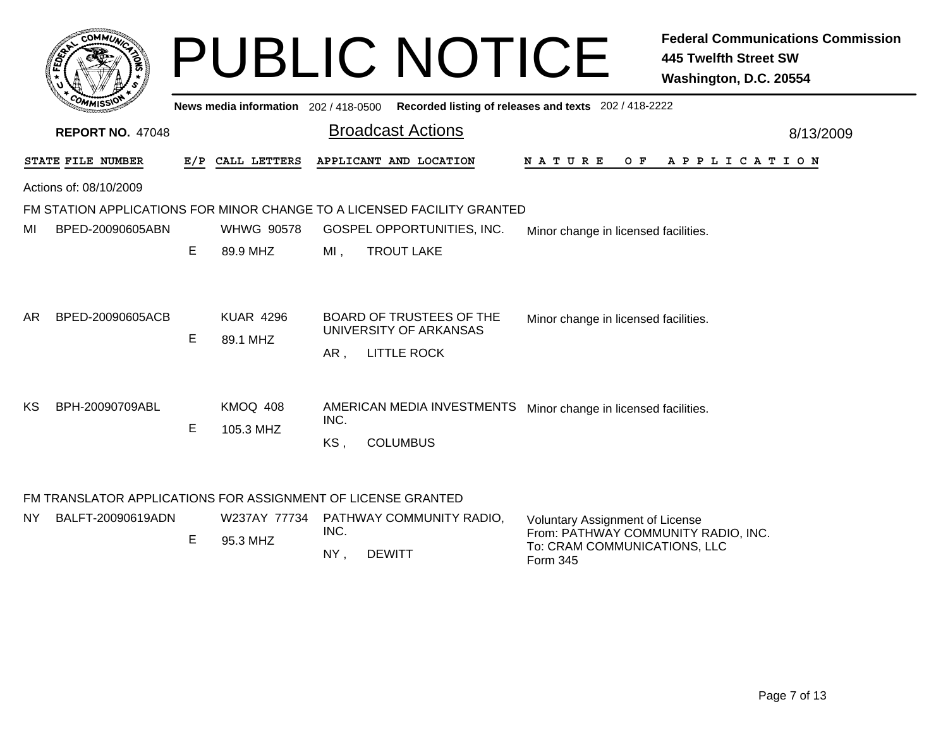|     |                         |     |                                       | <b>PUBLIC NOTICE</b>                                                                                                                 |                                                       | <b>Federal Communications Commission</b><br><b>445 Twelfth Street SW</b><br>Washington, D.C. 20554 |
|-----|-------------------------|-----|---------------------------------------|--------------------------------------------------------------------------------------------------------------------------------------|-------------------------------------------------------|----------------------------------------------------------------------------------------------------|
|     |                         |     | News media information 202 / 418-0500 |                                                                                                                                      | Recorded listing of releases and texts 202 / 418-2222 |                                                                                                    |
|     | <b>REPORT NO. 47048</b> |     |                                       | <b>Broadcast Actions</b>                                                                                                             |                                                       | 8/13/2009                                                                                          |
|     | STATE FILE NUMBER       | E/P | CALL LETTERS                          | APPLICANT AND LOCATION                                                                                                               | N A T U R E<br>O F                                    | A P P L I C A T I O N                                                                              |
|     | Actions of: 08/10/2009  |     |                                       |                                                                                                                                      |                                                       |                                                                                                    |
| MI  | BPED-20090605ABN        | Е   | <b>WHWG 90578</b><br>89.9 MHZ         | FM STATION APPLICATIONS FOR MINOR CHANGE TO A LICENSED FACILITY GRANTED<br>GOSPEL OPPORTUNITIES, INC.<br><b>TROUT LAKE</b><br>$MI$ , | Minor change in licensed facilities.                  |                                                                                                    |
| AR. | BPED-20090605ACB        | Е   | <b>KUAR 4296</b><br>89.1 MHZ          | <b>BOARD OF TRUSTEES OF THE</b><br>UNIVERSITY OF ARKANSAS<br><b>LITTLE ROCK</b><br>AR,                                               | Minor change in licensed facilities.                  |                                                                                                    |
| KS  | BPH-20090709ABL         | E   | KMOQ 408<br>105.3 MHZ                 | AMERICAN MEDIA INVESTMENTS<br>INC.<br><b>COLUMBUS</b><br>KS,                                                                         | Minor change in licensed facilities.                  |                                                                                                    |
| NY. | BALFT-20090619ADN       |     |                                       | FM TRANSLATOR APPLICATIONS FOR ASSIGNMENT OF LICENSE GRANTED<br>W237AY 77734 PATHWAY COMMUNITY RADIO,                                | <b>Voluntary Assignment of License</b>                |                                                                                                    |

, DEWITT NY

INC.

E

95.3 MHZ

From: PATHWAY COMMUNITY RADIO, INC.

To: CRAM COMMUNICATIONS, LLC

Form 345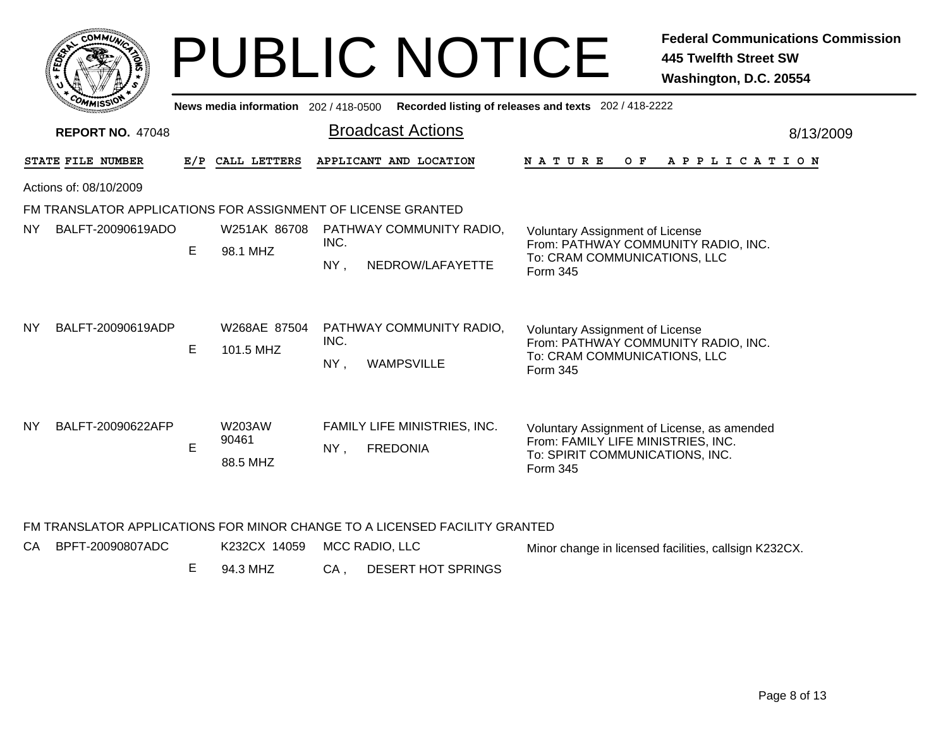|           |                         |   |                                     | <b>PUBLIC NOTICE</b>                                                     |                                                                                                                                  | <b>Federal Communications Commission</b><br><b>445 Twelfth Street SW</b><br>Washington, D.C. 20554 |
|-----------|-------------------------|---|-------------------------------------|--------------------------------------------------------------------------|----------------------------------------------------------------------------------------------------------------------------------|----------------------------------------------------------------------------------------------------|
|           |                         |   | News media information 202/418-0500 |                                                                          | Recorded listing of releases and texts 202 / 418-2222                                                                            |                                                                                                    |
|           | <b>REPORT NO. 47048</b> |   |                                     | <b>Broadcast Actions</b>                                                 |                                                                                                                                  | 8/13/2009                                                                                          |
|           | STATE FILE NUMBER       |   | E/P CALL LETTERS                    | APPLICANT AND LOCATION                                                   | N A T U R E                                                                                                                      | OF APPLICATION                                                                                     |
|           | Actions of: 08/10/2009  |   |                                     |                                                                          |                                                                                                                                  |                                                                                                    |
|           |                         |   |                                     | FM TRANSLATOR APPLICATIONS FOR ASSIGNMENT OF LICENSE GRANTED             |                                                                                                                                  |                                                                                                    |
| <b>NY</b> | BALFT-20090619ADO       | Е | 98.1 MHZ                            | W251AK 86708 PATHWAY COMMUNITY RADIO,<br>INC.<br>NEDROW/LAFAYETTE<br>NY, | Voluntary Assignment of License<br>From: PATHWAY COMMUNITY RADIO, INC.<br>To: CRAM COMMUNICATIONS, LLC<br>Form 345               |                                                                                                    |
| NY.       | BALFT-20090619ADP       | E | W268AE 87504<br>101.5 MHZ           | PATHWAY COMMUNITY RADIO,<br>INC.<br><b>WAMPSVILLE</b><br>$NY$ ,          | <b>Voluntary Assignment of License</b><br>From: PATHWAY COMMUNITY RADIO, INC.<br>To: CRAM COMMUNICATIONS, LLC<br>Form 345        |                                                                                                    |
| <b>NY</b> | BALFT-20090622AFP       | E | W203AW<br>90461<br>88.5 MHZ         | FAMILY LIFE MINISTRIES, INC.<br><b>FREDONIA</b><br>NY,                   | Voluntary Assignment of License, as amended<br>From: FAMILY LIFE MINISTRIES, INC.<br>To: SPIRIT COMMUNICATIONS, INC.<br>Form 345 |                                                                                                    |

## FM TRANSLATOR APPLICATIONS FOR MINOR CHANGE TO A LICENSED FACILITY GRANTED

| CA BPFT-20090807ADC | K232CX 14059 MCC RADIO, LLC |                         | Minor change in licensed facilities, callsign K232CX. |
|---------------------|-----------------------------|-------------------------|-------------------------------------------------------|
|                     | 94.3 MHZ                    | CA . DESERT HOT SPRINGS |                                                       |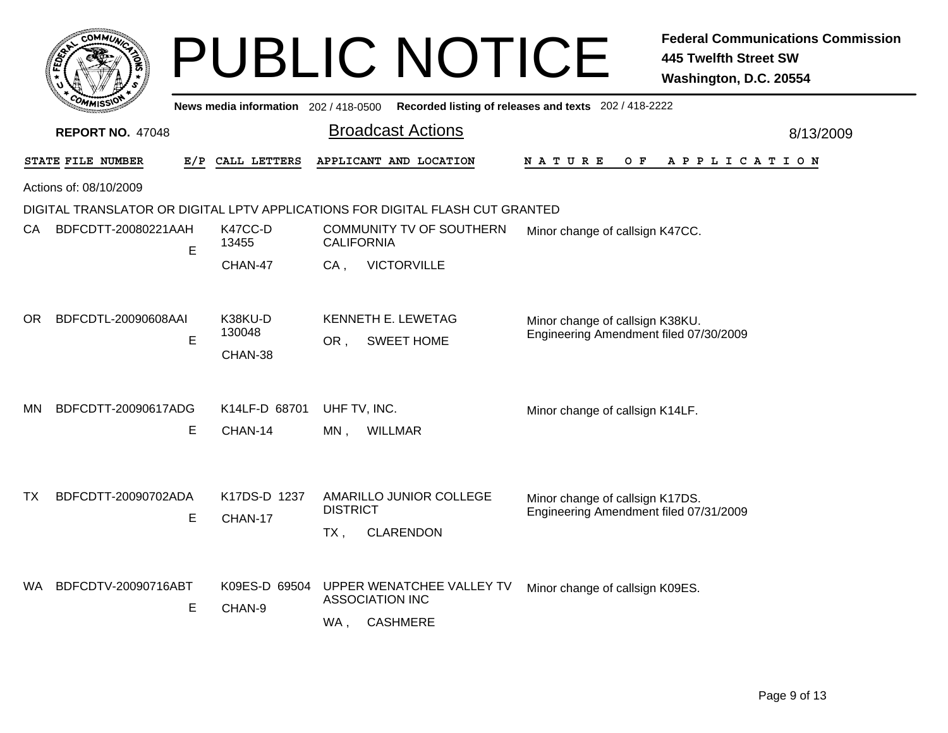|     |                         |   |                                       |                                  | <b>PUBLIC NOTICE</b>                                                          |                                                                           | <b>Federal Communications Commission</b><br><b>445 Twelfth Street SW</b><br>Washington, D.C. 20554 |
|-----|-------------------------|---|---------------------------------------|----------------------------------|-------------------------------------------------------------------------------|---------------------------------------------------------------------------|----------------------------------------------------------------------------------------------------|
|     |                         |   | News media information 202 / 418-0500 |                                  |                                                                               | Recorded listing of releases and texts 202 / 418-2222                     |                                                                                                    |
|     | <b>REPORT NO. 47048</b> |   |                                       |                                  | <b>Broadcast Actions</b>                                                      |                                                                           | 8/13/2009                                                                                          |
|     | STATE FILE NUMBER       |   | E/P CALL LETTERS                      |                                  | APPLICANT AND LOCATION                                                        | N A T U R E<br>O F                                                        | A P P L I C A T I O N                                                                              |
|     | Actions of: 08/10/2009  |   |                                       |                                  |                                                                               |                                                                           |                                                                                                    |
|     |                         |   |                                       |                                  | DIGITAL TRANSLATOR OR DIGITAL LPTV APPLICATIONS FOR DIGITAL FLASH CUT GRANTED |                                                                           |                                                                                                    |
| CA  | BDFCDTT-20080221AAH     | E | K47CC-D<br>13455                      | <b>CALIFORNIA</b>                | COMMUNITY TV OF SOUTHERN                                                      | Minor change of callsign K47CC.                                           |                                                                                                    |
|     |                         |   | CHAN-47                               | CA,                              | <b>VICTORVILLE</b>                                                            |                                                                           |                                                                                                    |
| ΟR  | BDFCDTL-20090608AAI     | E | K38KU-D<br>130048<br>CHAN-38          | <b>KENNETH E. LEWETAG</b><br>OR. | <b>SWEET HOME</b>                                                             | Minor change of callsign K38KU.<br>Engineering Amendment filed 07/30/2009 |                                                                                                    |
| MN. | BDFCDTT-20090617ADG     |   | K14LF-D 68701                         | UHF TV, INC.                     |                                                                               | Minor change of callsign K14LF.                                           |                                                                                                    |
|     |                         | Ε | CHAN-14                               | <b>WILLMAR</b><br>$MN$ ,         |                                                                               |                                                                           |                                                                                                    |
| ТX  | BDFCDTT-20090702ADA     | E | K17DS-D 1237<br>CHAN-17               | <b>DISTRICT</b><br>$TX$ ,        | AMARILLO JUNIOR COLLEGE<br><b>CLARENDON</b>                                   | Minor change of callsign K17DS.<br>Engineering Amendment filed 07/31/2009 |                                                                                                    |
| WA. | BDFCDTV-20090716ABT     | E | K09ES-D 69504<br>CHAN-9               | <b>ASSOCIATION INC</b><br>WA,    | UPPER WENATCHEE VALLEY TV<br><b>CASHMERE</b>                                  | Minor change of callsign K09ES.                                           |                                                                                                    |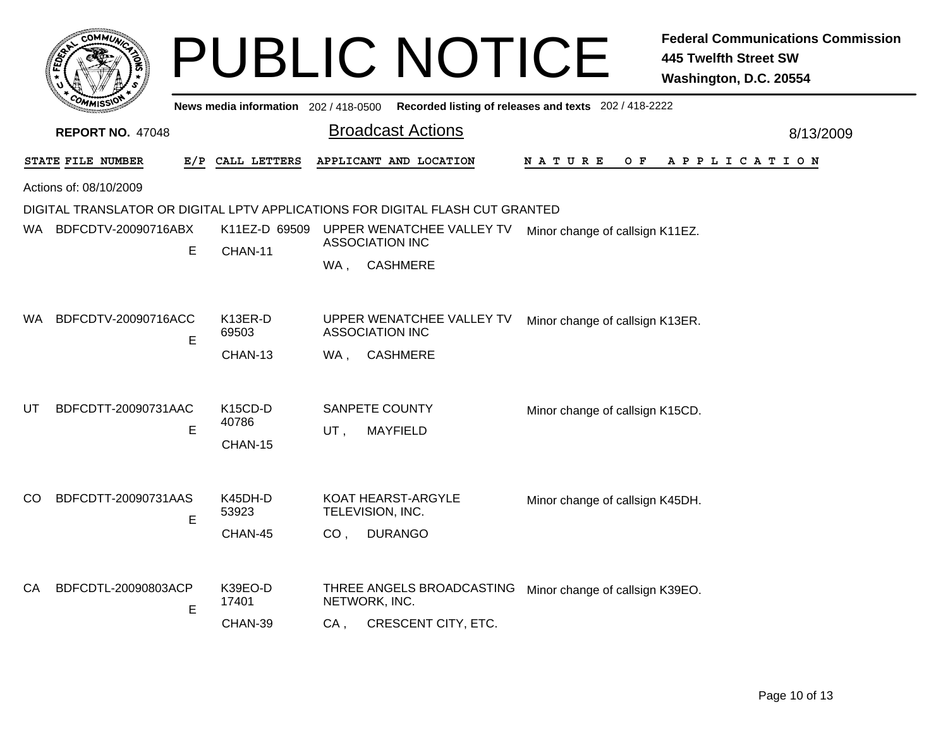|     | <b>COMMUT</b>           |   |                                          |                                     | <b>PUBLIC NOTICE</b>                                                          |                                                       | <b>Federal Communications Commission</b><br><b>445 Twelfth Street SW</b><br>Washington, D.C. 20554 |  |
|-----|-------------------------|---|------------------------------------------|-------------------------------------|-------------------------------------------------------------------------------|-------------------------------------------------------|----------------------------------------------------------------------------------------------------|--|
|     |                         |   | News media information 202 / 418-0500    |                                     |                                                                               | Recorded listing of releases and texts 202 / 418-2222 |                                                                                                    |  |
|     | <b>REPORT NO. 47048</b> |   |                                          |                                     | <b>Broadcast Actions</b>                                                      |                                                       | 8/13/2009                                                                                          |  |
|     | STATE FILE NUMBER       |   | E/P CALL LETTERS                         |                                     | APPLICANT AND LOCATION                                                        | N A T U R E<br>O F                                    | A P P L I C A T I O N                                                                              |  |
|     | Actions of: 08/10/2009  |   |                                          |                                     |                                                                               |                                                       |                                                                                                    |  |
|     |                         |   |                                          |                                     | DIGITAL TRANSLATOR OR DIGITAL LPTV APPLICATIONS FOR DIGITAL FLASH CUT GRANTED |                                                       |                                                                                                    |  |
|     | WA BDFCDTV-20090716ABX  | E | K11EZ-D 69509                            | <b>ASSOCIATION INC</b>              | UPPER WENATCHEE VALLEY TV                                                     | Minor change of callsign K11EZ.                       |                                                                                                    |  |
|     |                         |   | CHAN-11                                  | WA.                                 | <b>CASHMERE</b>                                                               |                                                       |                                                                                                    |  |
| WA. | BDFCDTV-20090716ACC     | E | K13ER-D<br>69503<br>CHAN-13              | ASSOCIATION INC<br>WA .             | UPPER WENATCHEE VALLEY TV<br><b>CASHMERE</b>                                  | Minor change of callsign K13ER.                       |                                                                                                    |  |
| UT  | BDFCDTT-20090731AAC     | E | K <sub>15</sub> CD-D<br>40786<br>CHAN-15 | SANPETE COUNTY<br>UT,               | <b>MAYFIELD</b>                                                               | Minor change of callsign K15CD.                       |                                                                                                    |  |
| CO  | BDFCDTT-20090731AAS     | Е | K45DH-D<br>53923<br>CHAN-45              | TELEVISION, INC.<br>CO <sub>1</sub> | <b>KOAT HEARST-ARGYLE</b><br><b>DURANGO</b>                                   | Minor change of callsign K45DH.                       |                                                                                                    |  |
| СA  | BDFCDTL-20090803ACP     | E | K39EO-D<br>17401<br>CHAN-39              | NETWORK, INC.<br>CA .               | THREE ANGELS BROADCASTING<br>CRESCENT CITY, ETC.                              | Minor change of callsign K39EO.                       |                                                                                                    |  |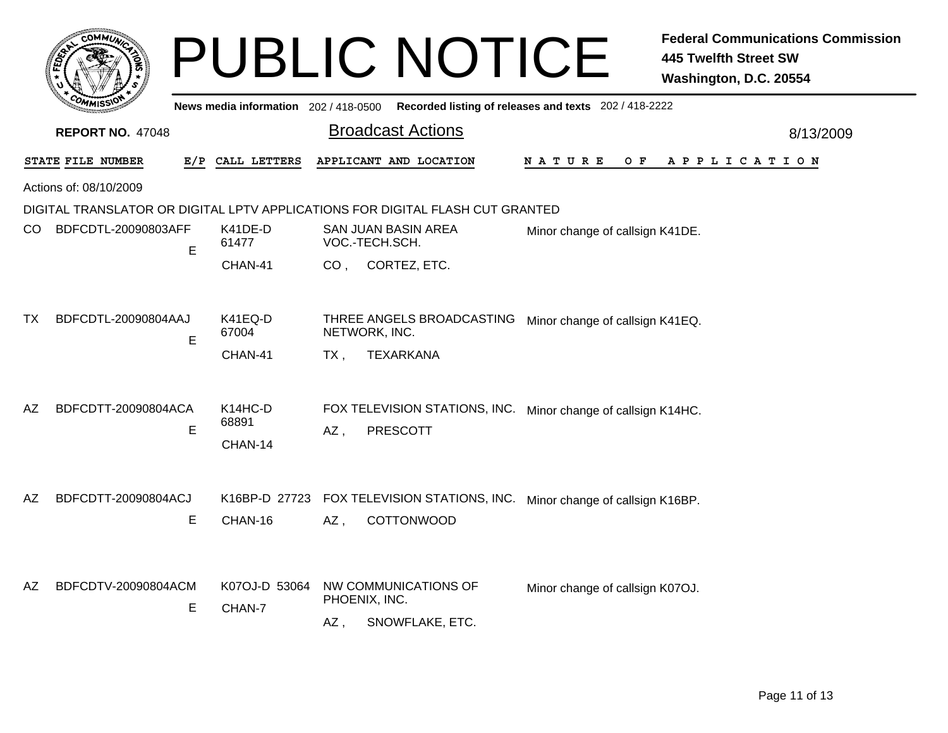|                                 |                                          | <b>PUBLIC NOTICE</b>                                                                                     | <b>Federal Communications Commission</b><br><b>445 Twelfth Street SW</b><br>Washington, D.C. 20554 |           |
|---------------------------------|------------------------------------------|----------------------------------------------------------------------------------------------------------|----------------------------------------------------------------------------------------------------|-----------|
|                                 |                                          | News media information 202 / 418-0500 Recorded listing of releases and texts 202 / 418-2222              |                                                                                                    |           |
| <b>REPORT NO. 47048</b>         |                                          | <b>Broadcast Actions</b>                                                                                 |                                                                                                    | 8/13/2009 |
| <b>STATE FILE NUMBER</b>        | E/P CALL LETTERS                         | APPLICANT AND LOCATION                                                                                   | O F<br>APPLICATION<br>N A T U R E                                                                  |           |
| Actions of: 08/10/2009          |                                          |                                                                                                          |                                                                                                    |           |
|                                 |                                          | DIGITAL TRANSLATOR OR DIGITAL LPTV APPLICATIONS FOR DIGITAL FLASH CUT GRANTED                            |                                                                                                    |           |
| CO<br>BDFCDTL-20090803AFF<br>E  | K41DE-D<br>61477                         | SAN JUAN BASIN AREA<br>VOC.-TECH.SCH.                                                                    | Minor change of callsign K41DE.                                                                    |           |
|                                 | CHAN-41                                  | CO, CORTEZ, ETC.                                                                                         |                                                                                                    |           |
| BDFCDTL-20090804AAJ<br>ТX<br>E  | K41EQ-D<br>67004<br>CHAN-41              | THREE ANGELS BROADCASTING Minor change of callsign K41EQ.<br>NETWORK, INC.<br><b>TEXARKANA</b><br>$TX$ , |                                                                                                    |           |
| AZ<br>BDFCDTT-20090804ACA<br>E  | K <sub>14</sub> HC-D<br>68891<br>CHAN-14 | FOX TELEVISION STATIONS, INC. Minor change of callsign K14HC.<br>$AZ$ ,<br><b>PRESCOTT</b>               |                                                                                                    |           |
| AZ<br>BDFCDTT-20090804ACJ<br>E  | K16BP-D 27723<br>CHAN-16                 | FOX TELEVISION STATIONS, INC. Minor change of callsign K16BP.<br>AZ,<br>COTTONWOOD                       |                                                                                                    |           |
| BDFCDTV-20090804ACM<br>AZ.<br>Е | K07OJ-D 53064<br>CHAN-7                  | NW COMMUNICATIONS OF<br>PHOENIX, INC.<br>SNOWFLAKE, ETC.<br>AZ,                                          | Minor change of callsign K07OJ.                                                                    |           |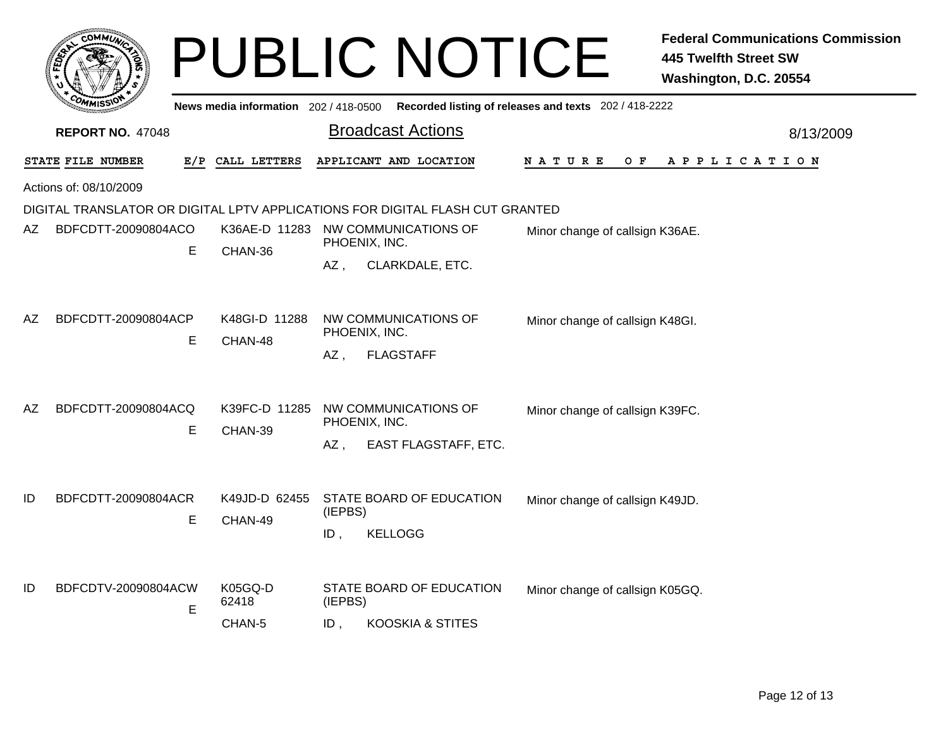|                         | <b>OMMUA</b>                                                                  |   |                                     |                      | <b>PUBLIC NOTICE</b>                                    |                                                       | <b>Federal Communications Commission</b><br><b>445 Twelfth Street SW</b><br>Washington, D.C. 20554 |  |  |
|-------------------------|-------------------------------------------------------------------------------|---|-------------------------------------|----------------------|---------------------------------------------------------|-------------------------------------------------------|----------------------------------------------------------------------------------------------------|--|--|
|                         |                                                                               |   | News media information 202/418-0500 |                      |                                                         | Recorded listing of releases and texts 202 / 418-2222 |                                                                                                    |  |  |
| <b>REPORT NO. 47048</b> |                                                                               |   |                                     |                      | <b>Broadcast Actions</b>                                |                                                       | 8/13/2009                                                                                          |  |  |
|                         | STATE FILE NUMBER                                                             |   | E/P CALL LETTERS                    |                      | APPLICANT AND LOCATION                                  | N A T U R E                                           | O F<br>A P P L I C A T I O N                                                                       |  |  |
|                         | Actions of: 08/10/2009                                                        |   |                                     |                      |                                                         |                                                       |                                                                                                    |  |  |
|                         | DIGITAL TRANSLATOR OR DIGITAL LPTV APPLICATIONS FOR DIGITAL FLASH CUT GRANTED |   |                                     |                      |                                                         |                                                       |                                                                                                    |  |  |
| AZ                      | BDFCDTT-20090804ACO                                                           | E | CHAN-36                             | PHOENIX, INC.        | K36AE-D 11283 NW COMMUNICATIONS OF                      | Minor change of callsign K36AE.                       |                                                                                                    |  |  |
|                         |                                                                               |   |                                     | AZ .                 | CLARKDALE, ETC.                                         |                                                       |                                                                                                    |  |  |
| AZ                      | BDFCDTT-20090804ACP                                                           | E | K48GI-D 11288<br>CHAN-48            | PHOENIX, INC.<br>AZ. | NW COMMUNICATIONS OF<br><b>FLAGSTAFF</b>                | Minor change of callsign K48GI.                       |                                                                                                    |  |  |
| AZ                      | BDFCDTT-20090804ACQ                                                           | Е | K39FC-D 11285<br>CHAN-39            | PHOENIX, INC.<br>AZ, | NW COMMUNICATIONS OF<br>EAST FLAGSTAFF, ETC.            | Minor change of callsign K39FC.                       |                                                                                                    |  |  |
| ID                      | BDFCDTT-20090804ACR                                                           | Е | K49JD-D 62455<br>CHAN-49            | (IEPBS)<br>$ID$ ,    | STATE BOARD OF EDUCATION<br><b>KELLOGG</b>              | Minor change of callsign K49JD.                       |                                                                                                    |  |  |
| ID                      | BDFCDTV-20090804ACW                                                           | E | K05GQ-D<br>62418<br>CHAN-5          | (IEPBS)<br>ID,       | STATE BOARD OF EDUCATION<br><b>KOOSKIA &amp; STITES</b> | Minor change of callsign K05GQ.                       |                                                                                                    |  |  |
|                         |                                                                               |   |                                     |                      |                                                         |                                                       |                                                                                                    |  |  |